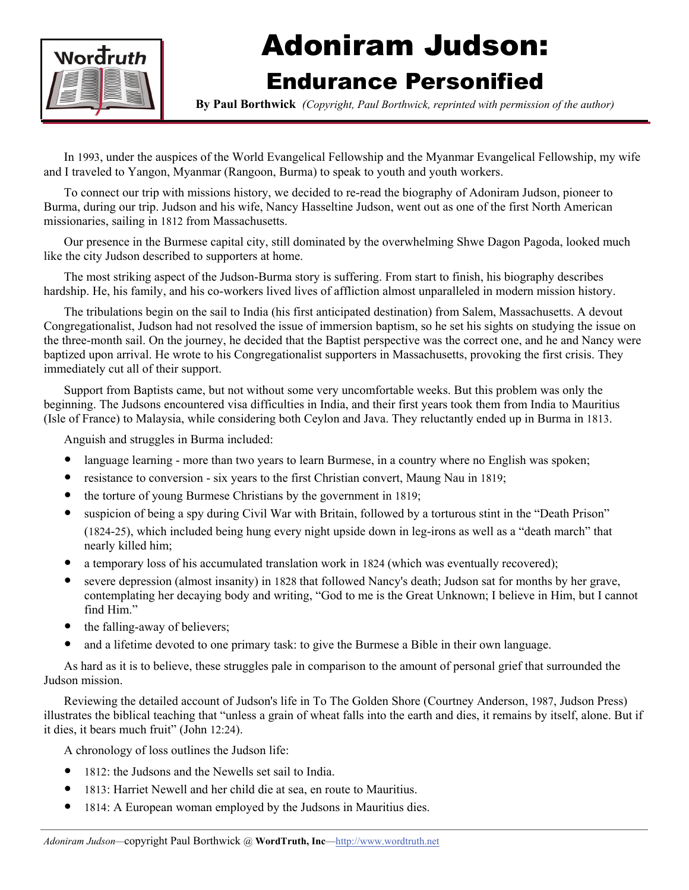

## Adoniram Judson:

## Endurance Personified

**By Paul Borthwick** *(Copyright, Paul Borthwick, reprinted with permission of the author)*

In 1993, under the auspices of the World Evangelical Fellowship and the Myanmar Evangelical Fellowship, my wife and I traveled to Yangon, Myanmar (Rangoon, Burma) to speak to youth and youth workers.

To connect our trip with missions history, we decided to re-read the biography of Adoniram Judson, pioneer to Burma, during our trip. Judson and his wife, Nancy Hasseltine Judson, went out as one of the first North American missionaries, sailing in 1812 from Massachusetts.

Our presence in the Burmese capital city, still dominated by the overwhelming Shwe Dagon Pagoda, looked much like the city Judson described to supporters at home.

The most striking aspect of the Judson-Burma story is suffering. From start to finish, his biography describes hardship. He, his family, and his co-workers lived lives of affliction almost unparalleled in modern mission history.

The tribulations begin on the sail to India (his first anticipated destination) from Salem, Massachusetts. A devout Congregationalist, Judson had not resolved the issue of immersion baptism, so he set his sights on studying the issue on the three-month sail. On the journey, he decided that the Baptist perspective was the correct one, and he and Nancy were baptized upon arrival. He wrote to his Congregationalist supporters in Massachusetts, provoking the first crisis. They immediately cut all of their support.

Support from Baptists came, but not without some very uncomfortable weeks. But this problem was only the beginning. The Judsons encountered visa difficulties in India, and their first years took them from India to Mauritius (Isle of France) to Malaysia, while considering both Ceylon and Java. They reluctantly ended up in Burma in 1813.

Anguish and struggles in Burma included:

- language learning more than two years to learn Burmese, in a country where no English was spoken;
- resistance to conversion six years to the first Christian convert, Maung Nau in 1819;
- $\bullet$  the torture of young Burmese Christians by the government in 1819;
- suspicion of being a spy during Civil War with Britain, followed by a torturous stint in the "Death Prison" (1824-25), which included being hung every night upside down in leg-irons as well as a "death march" that nearly killed him;
- a temporary loss of his accumulated translation work in 1824 (which was eventually recovered);
- severe depression (almost insanity) in 1828 that followed Nancy's death; Judson sat for months by her grave, contemplating her decaying body and writing, "God to me is the Great Unknown; I believe in Him, but I cannot find Him."
- $\bullet$  the falling-away of believers;
- and a lifetime devoted to one primary task: to give the Burmese a Bible in their own language.

As hard as it is to believe, these struggles pale in comparison to the amount of personal grief that surrounded the Judson mission.

Reviewing the detailed account of Judson's life in To The Golden Shore (Courtney Anderson, 1987, Judson Press) illustrates the biblical teaching that "unless a grain of wheat falls into the earth and dies, it remains by itself, alone. But if it dies, it bears much fruit" (John 12:24).

A chronology of loss outlines the Judson life:

- 1812: the Judsons and the Newells set sail to India.
- 1813: Harriet Newell and her child die at sea, en route to Mauritius.
- 1814: A European woman employed by the Judsons in Mauritius dies.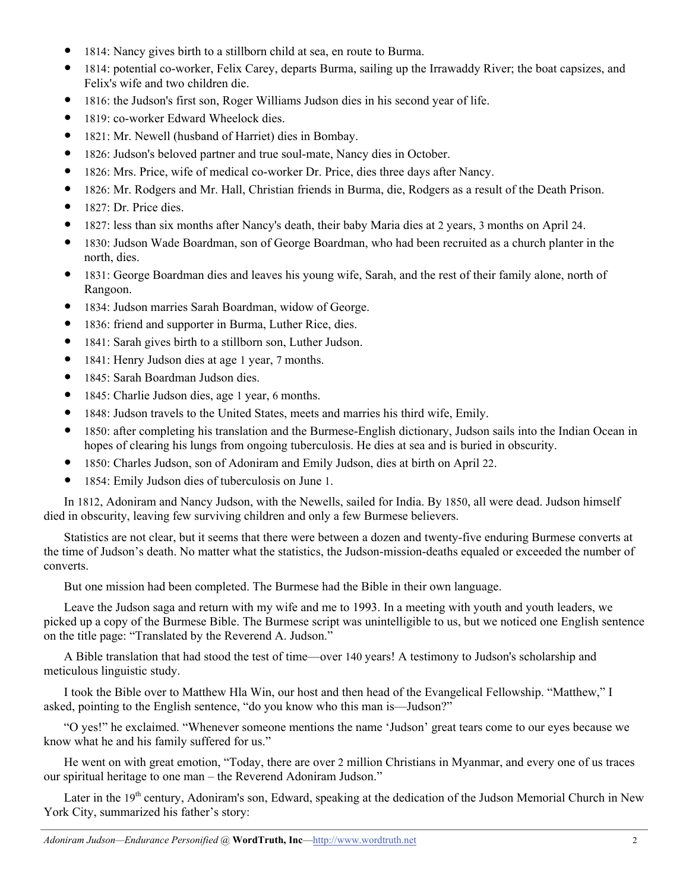- 1814: Nancy gives birth to a stillborn child at sea, en route to Burma.
- y 1814: potential co-worker, Felix Carey, departs Burma, sailing up the Irrawaddy River; the boat capsizes, and Felix's wife and two children die.
- y 1816: the Judson's first son, Roger Williams Judson dies in his second year of life.
- 1819: co-worker Edward Wheelock dies.
- 1821: Mr. Newell (husband of Harriet) dies in Bombay.
- y 1826: Judson's beloved partner and true soul-mate, Nancy dies in October.
- y 1826: Mrs. Price, wife of medical co-worker Dr. Price, dies three days after Nancy.
- y 1826: Mr. Rodgers and Mr. Hall, Christian friends in Burma, die, Rodgers as a result of the Death Prison.
- $\bullet$  1827: Dr. Price dies.
- y 1827: less than six months after Nancy's death, their baby Maria dies at 2 years, 3 months on April 24.
- y 1830: Judson Wade Boardman, son of George Boardman, who had been recruited as a church planter in the north, dies.
- 1831: George Boardman dies and leaves his young wife, Sarah, and the rest of their family alone, north of Rangoon.
- 1834: Judson marries Sarah Boardman, widow of George.
- 1836: friend and supporter in Burma, Luther Rice, dies.
- 1841: Sarah gives birth to a stillborn son, Luther Judson.
- 1841: Henry Judson dies at age 1 year, 7 months.
- 1845: Sarah Boardman Judson dies.
- 1845: Charlie Judson dies, age 1 year, 6 months.
- 1848: Judson travels to the United States, meets and marries his third wife, Emily.
- 1850: after completing his translation and the Burmese-English dictionary, Judson sails into the Indian Ocean in hopes of clearing his lungs from ongoing tuberculosis. He dies at sea and is buried in obscurity.
- y 1850: Charles Judson, son of Adoniram and Emily Judson, dies at birth on April 22.
- y 1854: Emily Judson dies of tuberculosis on June 1.

In 1812, Adoniram and Nancy Judson, with the Newells, sailed for India. By 1850, all were dead. Judson himself died in obscurity, leaving few surviving children and only a few Burmese believers.

Statistics are not clear, but it seems that there were between a dozen and twenty-five enduring Burmese converts at the time of Judson's death. No matter what the statistics, the Judson-mission-deaths equaled or exceeded the number of converts.

But one mission had been completed. The Burmese had the Bible in their own language.

Leave the Judson saga and return with my wife and me to 1993. In a meeting with youth and youth leaders, we picked up a copy of the Burmese Bible. The Burmese script was unintelligible to us, but we noticed one English sentence on the title page: "Translated by the Reverend A. Judson."

A Bible translation that had stood the test of time—over 140 years! A testimony to Judson's scholarship and meticulous linguistic study.

I took the Bible over to Matthew Hla Win, our host and then head of the Evangelical Fellowship. "Matthew," I asked, pointing to the English sentence, "do you know who this man is—Judson?"

"O yes!" he exclaimed. "Whenever someone mentions the name 'Judson' great tears come to our eyes because we know what he and his family suffered for us."

He went on with great emotion, "Today, there are over 2 million Christians in Myanmar, and every one of us traces our spiritual heritage to one man – the Reverend Adoniram Judson."

Later in the 19<sup>th</sup> century, Adoniram's son, Edward, speaking at the dedication of the Judson Memorial Church in New York City, summarized his father's story: